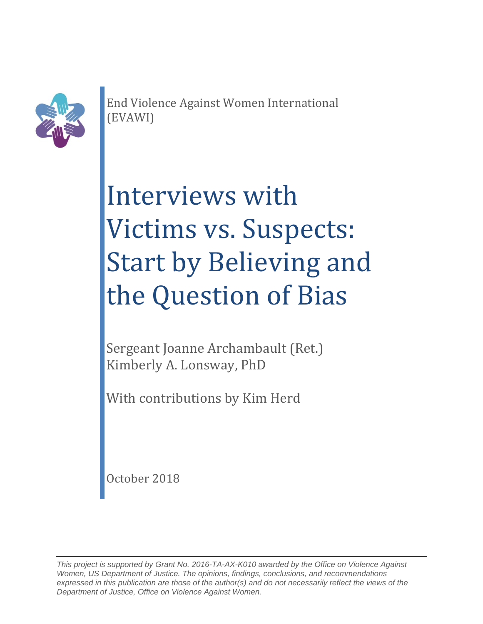

End Violence Against Women International (EVAWI)

# Interviews with Victims vs. Suspects: Start by Believing and the Question of Bias

Sergeant Joanne Archambault (Ret.) Kimberly A. Lonsway, PhD

With contributions by Kim Herd

October 2018

*This project is supported by Grant No. 2016-TA-AX-K010 awarded by the Office on Violence Against Women, US Department of Justice. The opinions, findings, conclusions, and recommendations expressed in this publication are those of the author(s) and do not necessarily reflect the views of the Department of Justice, Office on Violence Against Women.*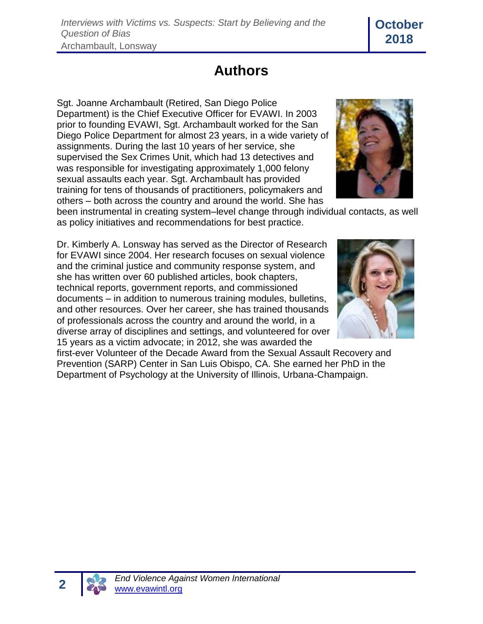#### **Authors**

Sgt. Joanne Archambault (Retired, San Diego Police Department) is the Chief Executive Officer for EVAWI. In 2003 prior to founding EVAWI, Sgt. Archambault worked for the San Diego Police Department for almost 23 years, in a wide variety of assignments. During the last 10 years of her service, she supervised the Sex Crimes Unit, which had 13 detectives and was responsible for investigating approximately 1,000 felony sexual assaults each year. Sgt. Archambault has provided training for tens of thousands of practitioners, policymakers and others – both across the country and around the world. She has

been instrumental in creating system–level change through individual contacts, as well as policy initiatives and recommendations for best practice.

Dr. Kimberly A. Lonsway has served as the Director of Research for EVAWI since 2004. Her research focuses on sexual violence and the criminal justice and community response system, and she has written over 60 published articles, book chapters, technical reports, government reports, and commissioned documents – in addition to numerous training modules, bulletins, and other resources. Over her career, she has trained thousands of professionals across the country and around the world, in a diverse array of disciplines and settings, and volunteered for over 15 years as a victim advocate; in 2012, she was awarded the

first-ever Volunteer of the Decade Award from the Sexual Assault Recovery and Prevention (SARP) Center in San Luis Obispo, CA. She earned her PhD in the Department of Psychology at the University of Illinois, Urbana-Champaign.





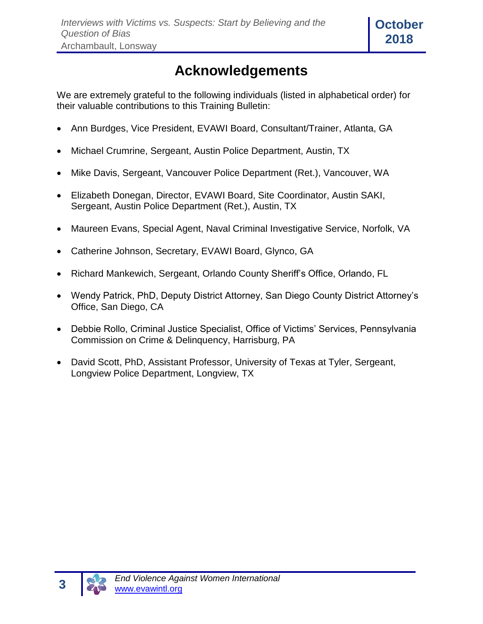# **Acknowledgements**

We are extremely grateful to the following individuals (listed in alphabetical order) for their valuable contributions to this Training Bulletin:

- Ann Burdges, Vice President, EVAWI Board, Consultant/Trainer, Atlanta, GA
- Michael Crumrine, Sergeant, Austin Police Department, Austin, TX
- Mike Davis, Sergeant, Vancouver Police Department (Ret.), Vancouver, WA
- Elizabeth Donegan, Director, EVAWI Board, Site Coordinator, Austin SAKI, Sergeant, Austin Police Department (Ret.), Austin, TX
- Maureen Evans, Special Agent, Naval Criminal Investigative Service, Norfolk, VA
- Catherine Johnson, Secretary, EVAWI Board, Glynco, GA
- Richard Mankewich, Sergeant, Orlando County Sheriff's Office, Orlando, FL
- Wendy Patrick, PhD, Deputy District Attorney, San Diego County District Attorney's Office, San Diego, CA
- Debbie Rollo, Criminal Justice Specialist, Office of Victims' Services, Pennsylvania Commission on Crime & Delinquency, Harrisburg, PA
- David Scott, PhD, Assistant Professor, University of Texas at Tyler, Sergeant, Longview Police Department, Longview, TX

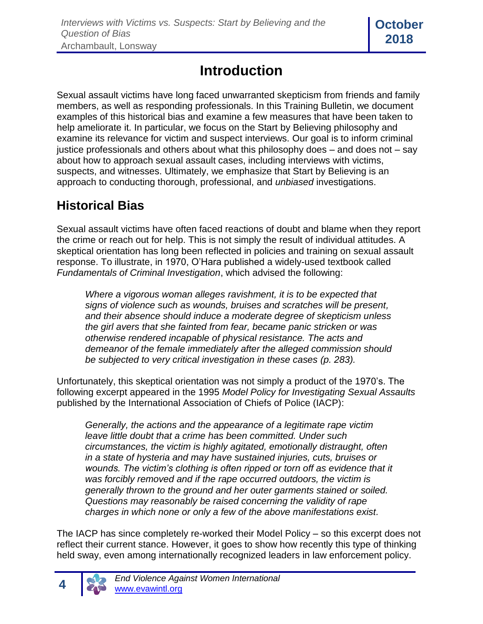# **Introduction**

Sexual assault victims have long faced unwarranted skepticism from friends and family members, as well as responding professionals. In this Training Bulletin, we document examples of this historical bias and examine a few measures that have been taken to help ameliorate it. In particular, we focus on the Start by Believing philosophy and examine its relevance for victim and suspect interviews. Our goal is to inform criminal justice professionals and others about what this philosophy does – and does not – say about how to approach sexual assault cases, including interviews with victims, suspects, and witnesses. Ultimately, we emphasize that Start by Believing is an approach to conducting thorough, professional, and *unbiased* investigations.

## **Historical Bias**

Sexual assault victims have often faced reactions of doubt and blame when they report the crime or reach out for help. This is not simply the result of individual attitudes. A skeptical orientation has long been reflected in policies and training on sexual assault response. To illustrate, in 1970, O'Hara published a widely-used textbook called *Fundamentals of Criminal Investigation*, which advised the following:

*Where a vigorous woman alleges ravishment, it is to be expected that signs of violence such as wounds, bruises and scratches will be present, and their absence should induce a moderate degree of skepticism unless the girl avers that she fainted from fear, became panic stricken or was otherwise rendered incapable of physical resistance. The acts and demeanor of the female immediately after the alleged commission should be subjected to very critical investigation in these cases (p. 283).*

Unfortunately, this skeptical orientation was not simply a product of the 1970's. The following excerpt appeared in the 1995 *Model Policy for Investigating Sexual Assaults* published by the International Association of Chiefs of Police (IACP):

*Generally, the actions and the appearance of a legitimate rape victim leave little doubt that a crime has been committed. Under such circumstances, the victim is highly agitated, emotionally distraught, often in a state of hysteria and may have sustained injuries, cuts, bruises or wounds. The victim's clothing is often ripped or torn off as evidence that it was forcibly removed and if the rape occurred outdoors, the victim is generally thrown to the ground and her outer garments stained or soiled. Questions may reasonably be raised concerning the validity of rape charges in which none or only a few of the above manifestations exist.*

The IACP has since completely re-worked their Model Policy – so this excerpt does not reflect their current stance. However, it goes to show how recently this type of thinking held sway, even among internationally recognized leaders in law enforcement policy.

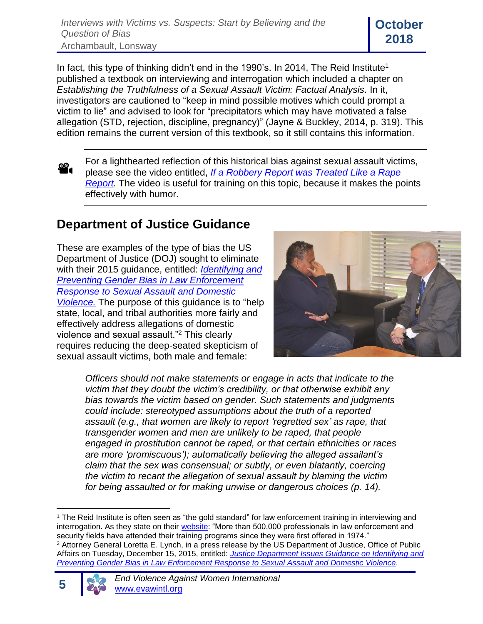*Interviews with Victims vs. Suspects: Start by Believing and the Question of Bias* Archambault, Lonsway<br>Archambault, Lonsway

**October**

In fact, this type of thinking didn't end in the 1990's. In 2014, The Reid Institute<sup>1</sup> published a textbook on interviewing and interrogation which included a chapter on *Establishing the Truthfulness of a Sexual Assault Victim: Factual Analysis.* In it, investigators are cautioned to "keep in mind possible motives which could prompt a victim to lie" and advised to look for "precipitators which may have motivated a false allegation (STD, rejection, discipline, pregnancy)" (Jayne & Buckley, 2014, p. 319). This edition remains the current version of this textbook, so it still contains this information.

For a lighthearted reflection of this historical bias against sexual assault victims, please see the video entitled, *[If a Robbery Report was Treated Like a Rape](https://vimeo.com/290528974)  [Report.](https://vimeo.com/290528974)* The video is useful for training on this topic, because it makes the points effectively with humor.

#### **Department of Justice Guidance**

These are examples of the type of bias the US Department of Justice (DOJ) sought to eliminate with their 2015 guidance, entitled: *[Identifying and](https://www.justice.gov/opa/file/799366/download)  [Preventing Gender Bias in Law Enforcement](https://www.justice.gov/opa/file/799366/download)  [Response to Sexual Assault and Domestic](https://www.justice.gov/opa/file/799366/download)  [Violence.](https://www.justice.gov/opa/file/799366/download)* The purpose of this guidance is to "help state, local, and tribal authorities more fairly and effectively address allegations of domestic violence and sexual assault."<sup>2</sup> This clearly requires reducing the deep-seated skepticism of sexual assault victims, both male and female:



*Officers should not make statements or engage in acts that indicate to the victim that they doubt the victim's credibility, or that otherwise exhibit any bias towards the victim based on gender. Such statements and judgments could include: stereotyped assumptions about the truth of a reported assault (e.g., that women are likely to report 'regretted sex' as rape, that transgender women and men are unlikely to be raped, that people engaged in prostitution cannot be raped, or that certain ethnicities or races are more 'promiscuous'); automatically believing the alleged assailant's claim that the sex was consensual; or subtly, or even blatantly, coercing the victim to recant the allegation of sexual assault by blaming the victim for being assaulted or for making unwise or dangerous choices (p. 14).*

<sup>1</sup> The Reid Institute is often seen as "the gold standard" for law enforcement training in interviewing and interrogation. As they state on their [website:](http://www.reid.com/training_programs/r_training.html) "More than 500,000 professionals in law enforcement and security fields have attended their training programs since they were first offered in 1974." <sup>2</sup> Attorney General Loretta E. Lynch, in a press release by the US Department of Justice, Office of Public Affairs on Tuesday, December 15, 2015, entitled: *[Justice Department Issues Guidance on Identifying and](https://www.justice.gov/opa/pr/justice-department-issues-guidance-identifying-and-preventing-gender-bias-law-enforcement)  [Preventing Gender Bias in Law Enforcement Response to Sexual Assault and Domestic Violence.](https://www.justice.gov/opa/pr/justice-department-issues-guidance-identifying-and-preventing-gender-bias-law-enforcement)*



 $\overline{a}$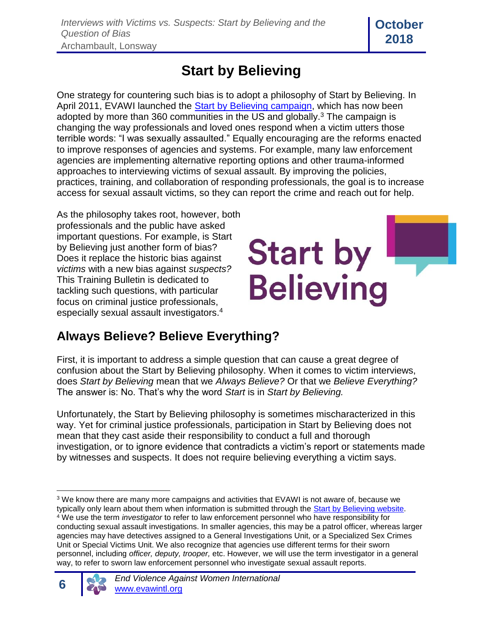

# **Start by Believing**

One strategy for countering such bias is to adopt a philosophy of Start by Believing. In April 2011, EVAWI launched the [Start by Believing](http://www.startbybelieving.org/) campaign, which has now been adopted by more than 360 communities in the US and globally.<sup>3</sup> The campaign is changing the way professionals and loved ones respond when a victim utters those terrible words: "I was sexually assaulted." Equally encouraging are the reforms enacted to improve responses of agencies and systems. For example, many law enforcement agencies are implementing alternative reporting options and other trauma-informed approaches to interviewing victims of sexual assault. By improving the policies, practices, training, and collaboration of responding professionals, the goal is to increase access for sexual assault victims, so they can report the crime and reach out for help.

As the philosophy takes root, however, both professionals and the public have asked important questions. For example, is Start by Believing just another form of bias? Does it replace the historic bias against *victims* with a new bias against *suspects?* This Training Bulletin is dedicated to tackling such questions, with particular focus on criminal justice professionals, especially sexual assault investigators.<sup>4</sup>



# **Always Believe? Believe Everything?**

First, it is important to address a simple question that can cause a great degree of confusion about the Start by Believing philosophy. When it comes to victim interviews, does *Start by Believing* mean that we *Always Believe?* Or that we *Believe Everything?* The answer is: No. That's why the word *Start* is in *Start by Believing.*

Unfortunately, the Start by Believing philosophy is sometimes mischaracterized in this way. Yet for criminal justice professionals, participation in Start by Believing does not mean that they cast aside their responsibility to conduct a full and thorough investigation, or to ignore evidence that contradicts a victim's report or statements made by witnesses and suspects. It does not require believing everything a victim says.

 $\overline{a}$ <sup>3</sup> We know there are many more campaigns and activities that EVAWI is not aware of, because we typically only learn about them when information is submitted through the [Start by Believing website.](http://www.startbybelieving.org/submit-your-sbb-campaign) <sup>4</sup> We use the term *investigator* to refer to law enforcement personnel who have responsibility for conducting sexual assault investigations. In smaller agencies, this may be a patrol officer, whereas larger agencies may have detectives assigned to a General Investigations Unit, or a Specialized Sex Crimes Unit or Special Victims Unit. We also recognize that agencies use different terms for their sworn personnel, including *officer, deputy, trooper,* etc. However, we will use the term investigator in a general way, to refer to sworn law enforcement personnel who investigate sexual assault reports.

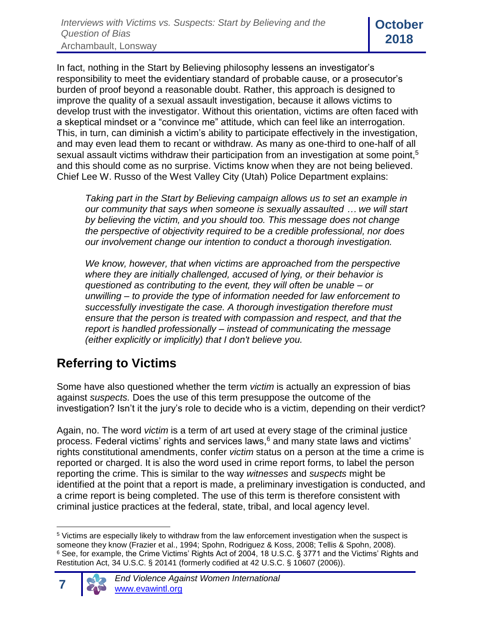In fact, nothing in the Start by Believing philosophy lessens an investigator's responsibility to meet the evidentiary standard of probable cause, or a prosecutor's burden of proof beyond a reasonable doubt. Rather, this approach is designed to improve the quality of a sexual assault investigation, because it allows victims to develop trust with the investigator. Without this orientation, victims are often faced with a skeptical mindset or a "convince me" attitude, which can feel like an interrogation. This, in turn, can diminish a victim's ability to participate effectively in the investigation, and may even lead them to recant or withdraw. As many as one-third to one-half of all sexual assault victims withdraw their participation from an investigation at some point,<sup>5</sup> and this should come as no surprise. Victims know when they are not being believed. Chief Lee W. Russo of the West Valley City (Utah) Police Department explains:

*Taking part in the Start by Believing campaign allows us to set an example in our community that says when someone is sexually assaulted … we will start by believing the victim, and you should too. This message does not change the perspective of objectivity required to be a credible professional, nor does our involvement change our intention to conduct a thorough investigation.* 

*We know, however, that when victims are approached from the perspective where they are initially challenged, accused of lying, or their behavior is questioned as contributing to the event, they will often be unable* – *or unwilling* – *to provide the type of information needed for law enforcement to successfully investigate the case. A thorough investigation therefore must ensure that the person is treated with compassion and respect, and that the report is handled professionally – instead of communicating the message (either explicitly or implicitly) that I don't believe you.*

#### **Referring to Victims**

Some have also questioned whether the term *victim* is actually an expression of bias against *suspects.* Does the use of this term presuppose the outcome of the investigation? Isn't it the jury's role to decide who is a victim, depending on their verdict?

Again, no. The word *victim* is a term of art used at every stage of the criminal justice process. Federal victims' rights and services laws, <sup>6</sup> and many state laws and victims' rights constitutional amendments, confer *victim* status on a person at the time a crime is reported or charged. It is also the word used in crime report forms, to label the person reporting the crime. This is similar to the way *witnesses* and *suspects* might be identified at the point that a report is made, a preliminary investigation is conducted, and a crime report is being completed. The use of this term is therefore consistent with criminal justice practices at the federal, state, tribal, and local agency level.

 $\overline{a}$ <sup>5</sup> Victims are especially likely to withdraw from the law enforcement investigation when the suspect is someone they know (Frazier et al., 1994; Spohn, Rodriguez & Koss, 2008; Tellis & Spohn, 2008). <sup>6</sup> See, for example, the Crime Victims' Rights Act of 2004, 18 U.S.C. § 3771 and the Victims' Rights and Restitution Act, 34 U.S.C. § 20141 (formerly codified at 42 U.S.C. § 10607 (2006)).

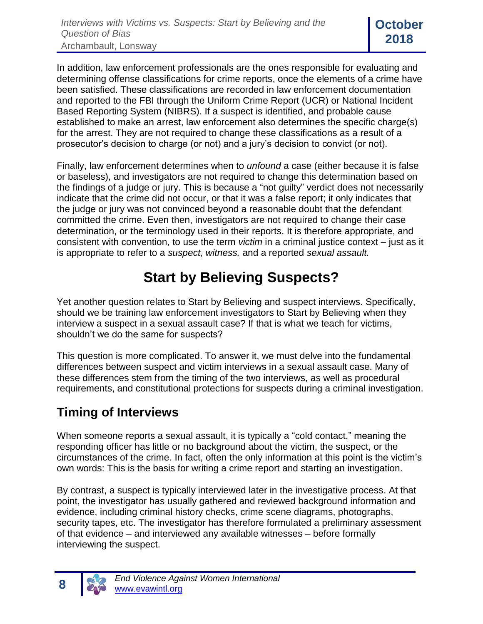In addition, law enforcement professionals are the ones responsible for evaluating and determining offense classifications for crime reports, once the elements of a crime have been satisfied. These classifications are recorded in law enforcement documentation and reported to the FBI through the Uniform Crime Report (UCR) or National Incident Based Reporting System (NIBRS). If a suspect is identified, and probable cause established to make an arrest, law enforcement also determines the specific charge(s) for the arrest. They are not required to change these classifications as a result of a prosecutor's decision to charge (or not) and a jury's decision to convict (or not).

Finally, law enforcement determines when to *unfound* a case (either because it is false or baseless), and investigators are not required to change this determination based on the findings of a judge or jury. This is because a "not guilty" verdict does not necessarily indicate that the crime did not occur, or that it was a false report; it only indicates that the judge or jury was not convinced beyond a reasonable doubt that the defendant committed the crime. Even then, investigators are not required to change their case determination, or the terminology used in their reports. It is therefore appropriate, and consistent with convention, to use the term *victim* in a criminal justice context – just as it is appropriate to refer to a *suspect, witness,* and a reported *sexual assault.*

# **Start by Believing Suspects?**

Yet another question relates to Start by Believing and suspect interviews. Specifically, should we be training law enforcement investigators to Start by Believing when they interview a suspect in a sexual assault case? If that is what we teach for victims, shouldn't we do the same for suspects?

This question is more complicated. To answer it, we must delve into the fundamental differences between suspect and victim interviews in a sexual assault case. Many of these differences stem from the timing of the two interviews, as well as procedural requirements, and constitutional protections for suspects during a criminal investigation.

### **Timing of Interviews**

When someone reports a sexual assault, it is typically a "cold contact," meaning the responding officer has little or no background about the victim, the suspect, or the circumstances of the crime. In fact, often the only information at this point is the victim's own words: This is the basis for writing a crime report and starting an investigation.

By contrast, a suspect is typically interviewed later in the investigative process. At that point, the investigator has usually gathered and reviewed background information and evidence, including criminal history checks, crime scene diagrams, photographs, security tapes, etc. The investigator has therefore formulated a preliminary assessment of that evidence – and interviewed any available witnesses – before formally interviewing the suspect.

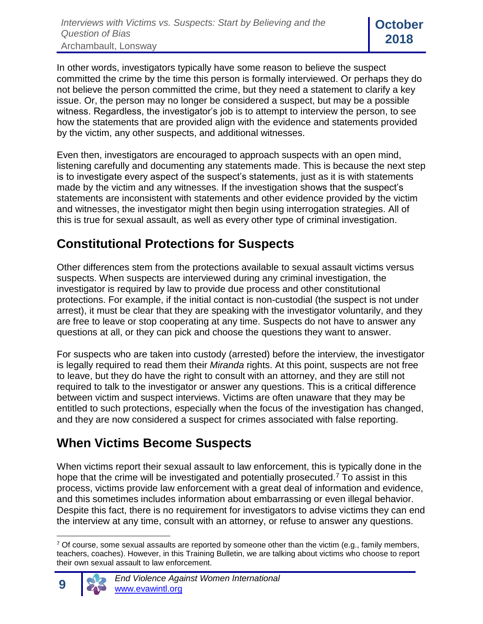In other words, investigators typically have some reason to believe the suspect committed the crime by the time this person is formally interviewed. Or perhaps they do not believe the person committed the crime, but they need a statement to clarify a key issue. Or, the person may no longer be considered a suspect, but may be a possible witness. Regardless, the investigator's job is to attempt to interview the person, to see how the statements that are provided align with the evidence and statements provided by the victim, any other suspects, and additional witnesses.

Even then, investigators are encouraged to approach suspects with an open mind, listening carefully and documenting any statements made. This is because the next step is to investigate every aspect of the suspect's statements, just as it is with statements made by the victim and any witnesses. If the investigation shows that the suspect's statements are inconsistent with statements and other evidence provided by the victim and witnesses, the investigator might then begin using interrogation strategies. All of this is true for sexual assault, as well as every other type of criminal investigation.

#### **Constitutional Protections for Suspects**

Other differences stem from the protections available to sexual assault victims versus suspects. When suspects are interviewed during any criminal investigation, the investigator is required by law to provide due process and other constitutional protections. For example, if the initial contact is non-custodial (the suspect is not under arrest), it must be clear that they are speaking with the investigator voluntarily, and they are free to leave or stop cooperating at any time. Suspects do not have to answer any questions at all, or they can pick and choose the questions they want to answer.

For suspects who are taken into custody (arrested) before the interview, the investigator is legally required to read them their *Miranda* rights. At this point, suspects are not free to leave, but they do have the right to consult with an attorney, and they are still not required to talk to the investigator or answer any questions. This is a critical difference between victim and suspect interviews. Victims are often unaware that they may be entitled to such protections, especially when the focus of the investigation has changed, and they are now considered a suspect for crimes associated with false reporting.

#### **When Victims Become Suspects**

When victims report their sexual assault to law enforcement, this is typically done in the hope that the crime will be investigated and potentially prosecuted.<sup>7</sup> To assist in this process, victims provide law enforcement with a great deal of information and evidence, and this sometimes includes information about embarrassing or even illegal behavior. Despite this fact, there is no requirement for investigators to advise victims they can end the interview at any time, consult with an attorney, or refuse to answer any questions.

 $\overline{a}$ <sup>7</sup> Of course, some sexual assaults are reported by someone other than the victim (e.g., family members, teachers, coaches). However, in this Training Bulletin, we are talking about victims who choose to report their own sexual assault to law enforcement.

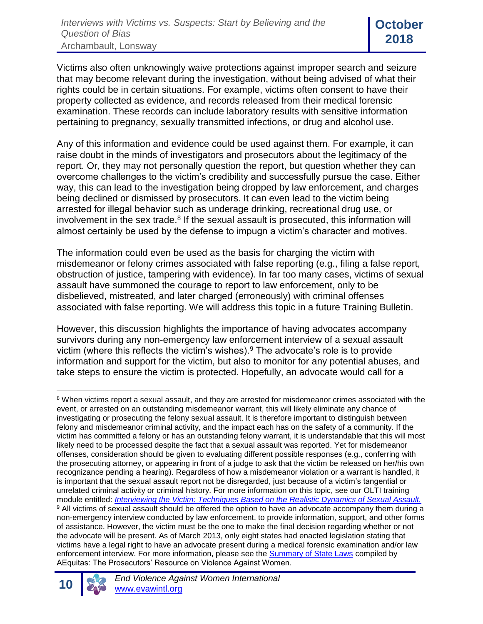Victims also often unknowingly waive protections against improper search and seizure that may become relevant during the investigation, without being advised of what their rights could be in certain situations. For example, victims often consent to have their property collected as evidence, and records released from their medical forensic examination. These records can include laboratory results with sensitive information pertaining to pregnancy, sexually transmitted infections, or drug and alcohol use.

Any of this information and evidence could be used against them. For example, it can raise doubt in the minds of investigators and prosecutors about the legitimacy of the report. Or, they may not personally question the report, but question whether they can overcome challenges to the victim's credibility and successfully pursue the case. Either way, this can lead to the investigation being dropped by law enforcement, and charges being declined or dismissed by prosecutors. It can even lead to the victim being arrested for illegal behavior such as underage drinking, recreational drug use, or involvement in the sex trade.<sup>8</sup> If the sexual assault is prosecuted, this information will almost certainly be used by the defense to impugn a victim's character and motives.

The information could even be used as the basis for charging the victim with misdemeanor or felony crimes associated with false reporting (e.g., filing a false report, obstruction of justice, tampering with evidence). In far too many cases, victims of sexual assault have summoned the courage to report to law enforcement, only to be disbelieved, mistreated, and later charged (erroneously) with criminal offenses associated with false reporting. We will address this topic in a future Training Bulletin.

However, this discussion highlights the importance of having advocates accompany survivors during any non-emergency law enforcement interview of a sexual assault victim (where this reflects the victim's wishes). $9$  The advocate's role is to provide information and support for the victim, but also to monitor for any potential abuses, and take steps to ensure the victim is protected. Hopefully, an advocate would call for a

 $\overline{a}$ <sup>8</sup> When victims report a sexual assault, and they are arrested for misdemeanor crimes associated with the event, or arrested on an outstanding misdemeanor warrant, this will likely eliminate any chance of investigating or prosecuting the felony sexual assault. It is therefore important to distinguish between felony and misdemeanor criminal activity, and the impact each has on the safety of a community. If the victim has committed a felony or has an outstanding felony warrant, it is understandable that this will most likely need to be processed despite the fact that a sexual assault was reported. Yet for misdemeanor offenses, consideration should be given to evaluating different possible responses (e.g., conferring with the prosecuting attorney, or appearing in front of a judge to ask that the victim be released on her/his own recognizance pending a hearing). Regardless of how a misdemeanor violation or a warrant is handled, it is important that the sexual assault report not be disregarded, just because of a victim's tangential or unrelated criminal activity or criminal history. For more information on this topic, see our OLTI training module entitled: *[Interviewing the Victim: Techniques Based on the Realistic Dynamics of Sexual Assault.](http://www.evawintl.org/Library/DocumentLibraryHandler.ashx?id=657)* 9 All victims of sexual assault should be offered the option to have an advocate accompany them during a non-emergency interview conducted by law enforcement, to provide information, support, and other forms of assistance. However, the victim must be the one to make the final decision regarding whether or not the advocate will be present. As of March 2013, only eight states had enacted legislation stating that victims have a legal right to have an advocate present during a medical forensic examination and/or law enforcement interview. For more information, please see the **Summary of State Laws** compiled by AEquitas: The Prosecutors' Resource on Violence Against Women.

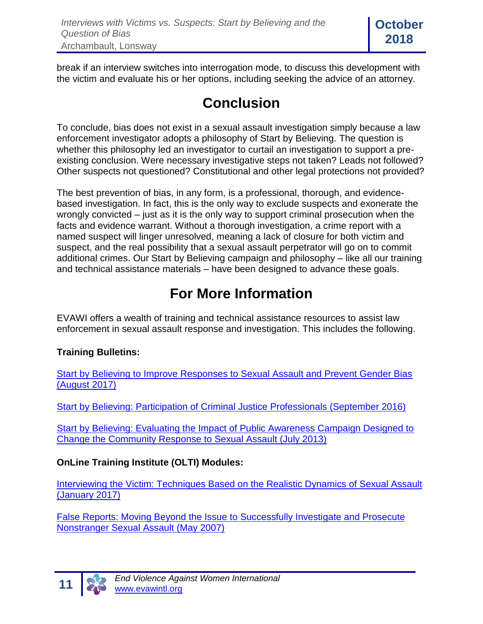break if an interview switches into interrogation mode, to discuss this development with the victim and evaluate his or her options, including seeking the advice of an attorney.

# **Conclusion**

To conclude, bias does not exist in a sexual assault investigation simply because a law enforcement investigator adopts a philosophy of Start by Believing. The question is whether this philosophy led an investigator to curtail an investigation to support a preexisting conclusion. Were necessary investigative steps not taken? Leads not followed? Other suspects not questioned? Constitutional and other legal protections not provided?

The best prevention of bias, in any form, is a professional, thorough, and evidencebased investigation. In fact, this is the only way to exclude suspects and exonerate the wrongly convicted – just as it is the only way to support criminal prosecution when the facts and evidence warrant. Without a thorough investigation, a crime report with a named suspect will linger unresolved, meaning a lack of closure for both victim and suspect, and the real possibility that a sexual assault perpetrator will go on to commit additional crimes. Our Start by Believing campaign and philosophy – like all our training and technical assistance materials – have been designed to advance these goals.

# **For More Information**

EVAWI offers a wealth of training and technical assistance resources to assist law enforcement in sexual assault response and investigation. This includes the following.

#### **Training Bulletins:**

[Start by Believing to Improve Responses to Sexual Assault and Prevent Gender Bias](https://evawintl-my.sharepoint.com/personal/kim_evawintl_org/Documents/Funders/OVW/2016%20Gender%20Bias/GB%20Grant%20Products/TB%20Bias%20Interviews/Rather,%20this%20approach%20is%20designed%20to%20improve%20the%20quality%20of%20a%20sexual%20assault%20investigation,)  [\(August 2017\)](https://evawintl-my.sharepoint.com/personal/kim_evawintl_org/Documents/Funders/OVW/2016%20Gender%20Bias/GB%20Grant%20Products/TB%20Bias%20Interviews/Rather,%20this%20approach%20is%20designed%20to%20improve%20the%20quality%20of%20a%20sexual%20assault%20investigation,)

[Start by Believing: Participation of Criminal Justice Professionals \(September 2016\)](http://www.evawintl.org/Library/DocumentLibraryHandler.ashx?id=789)

[Start by Believing: Evaluating the Impact of Public Awareness Campaign Designed to](http://www.evawintl.org/Library/DocumentLibraryHandler.ashx?id=25)  [Change the Community Response to Sexual Assault \(July 2013\)](http://www.evawintl.org/Library/DocumentLibraryHandler.ashx?id=25)

#### **OnLine Training Institute (OLTI) Modules:**

[Interviewing the Victim: Techniques Based on the Realistic Dynamics of Sexual Assault](http://www.evawintl.org/Library/DocumentLibraryHandler.ashx?id=657)  [\(January 2017\)](http://www.evawintl.org/Library/DocumentLibraryHandler.ashx?id=657)

[False Reports: Moving Beyond the Issue to Successfully Investigate and Prosecute](http://www.evawintl.org/Library/DocumentLibraryHandler.ashx?id=38)  [Nonstranger Sexual Assault \(May 2007\)](http://www.evawintl.org/Library/DocumentLibraryHandler.ashx?id=38)